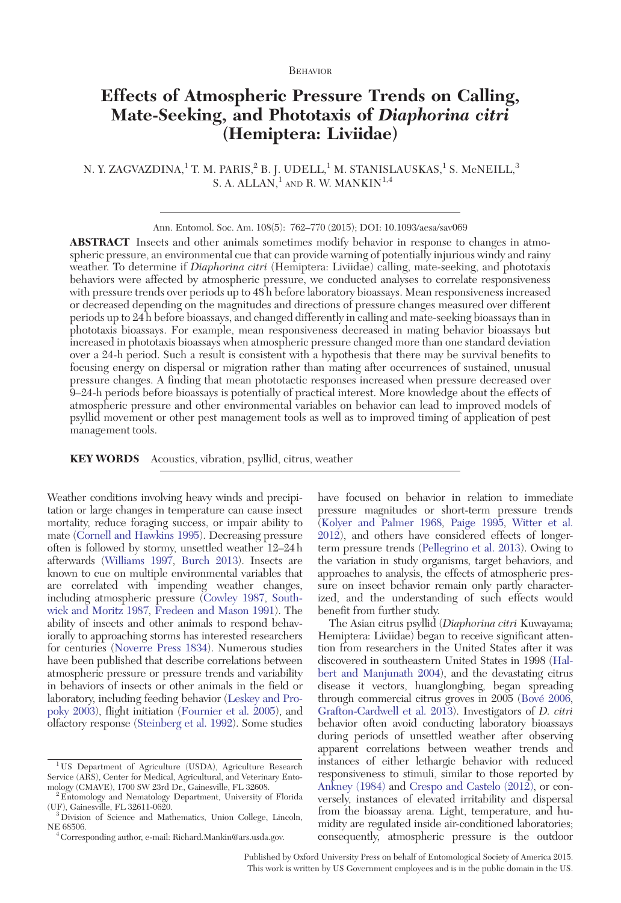# Effects of Atmospheric Pressure Trends on Calling, Mate-Seeking, and Phototaxis of Diaphorina citri (Hemiptera: Liviidae)

N. Y. ZAGVAZDINA,<sup>1</sup> T. M. PARIS,<sup>2</sup> B. J. UDELL,<sup>1</sup> M. STANISLAUSKAS,<sup>1</sup> S. McNEILL,<sup>3</sup> S. A. ALLAN, $<sup>1</sup>$  and R. W. MANKIN<sup>1,4</sup></sup>

Ann. Entomol. Soc. Am. 108(5): 762–770 (2015); DOI: 10.1093/aesa/sav069

ABSTRACT Insects and other animals sometimes modify behavior in response to changes in atmospheric pressure, an environmental cue that can provide warning of potentially injurious windy and rainy weather. To determine if *Diaphorina citri* (Hemiptera: Liviidae) calling, mate-seeking, and phototaxis behaviors were affected by atmospheric pressure, we conducted analyses to correlate responsiveness with pressure trends over periods up to 48 h before laboratory bioassays. Mean responsiveness increased or decreased depending on the magnitudes and directions of pressure changes measured over different periods up to 24 h before bioassays, and changed differently in calling and mate-seeking bioassays than in phototaxis bioassays. For example, mean responsiveness decreased in mating behavior bioassays but increased in phototaxis bioassays when atmospheric pressure changed more than one standard deviation over a 24-h period. Such a result is consistent with a hypothesis that there may be survival benefits to focusing energy on dispersal or migration rather than mating after occurrences of sustained, unusual pressure changes. A finding that mean phototactic responses increased when pressure decreased over 9–24-h periods before bioassays is potentially of practical interest. More knowledge about the effects of atmospheric pressure and other environmental variables on behavior can lead to improved models of psyllid movement or other pest management tools as well as to improved timing of application of pest management tools.

KEY WORDS Acoustics, vibration, psyllid, citrus, weather

Weather conditions involving heavy winds and precipitation or large changes in temperature can cause insect mortality, reduce foraging success, or impair ability to mate [\(Cornell and Hawkins 1995\)](#page-7-0). Decreasing pressure often is followed by stormy, unsettled weather 12–24 h afterwards ([Williams 1997,](#page-8-0) [Burch 2013\)](#page-7-0). Insects are known to cue on multiple environmental variables that are correlated with impending weather changes, including atmospheric pressure [\(Cowley 1987,](#page-7-0) [South](#page-8-0)[wick and Moritz 1987](#page-8-0), [Fredeen and Mason 1991\)](#page-7-0). The ability of insects and other animals to respond behaviorally to approaching storms has interested researchers for centuries [\(Noverre Press 1834](#page-8-0)). Numerous studies have been published that describe correlations between atmospheric pressure or pressure trends and variability in behaviors of insects or other animals in the field or laboratory, including feeding behavior ([Leskey and Pro](#page-7-0)[poky 2003\)](#page-7-0), flight initiation ([Fournier et al. 2005\)](#page-7-0), and olfactory response [\(Steinberg et al. 1992](#page-8-0)). Some studies

have focused on behavior in relation to immediate pressure magnitudes or short-term pressure trends [\(Kolyer and Palmer 1968](#page-7-0), [Paige 1995,](#page-8-0) [Witter et al.](#page-8-0) [2012](#page-8-0)), and others have considered effects of longerterm pressure trends ([Pellegrino et al. 2013](#page-8-0)). Owing to the variation in study organisms, target behaviors, and approaches to analysis, the effects of atmospheric pressure on insect behavior remain only partly characterized, and the understanding of such effects would benefit from further study.

The Asian citrus psyllid (Diaphorina citri Kuwayama; Hemiptera: Liviidae) began to receive significant attention from researchers in the United States after it was discovered in southeastern United States in 1998 ([Hal](#page-7-0)[bert and Manjunath 2004\)](#page-7-0), and the devastating citrus disease it vectors, huanglongbing, began spreading through commercial citrus groves in 2005 (Bové 2006, [Grafton-Cardwell et al. 2013](#page-7-0)). Investigators of D. citri behavior often avoid conducting laboratory bioassays during periods of unsettled weather after observing apparent correlations between weather trends and instances of either lethargic behavior with reduced responsiveness to stimuli, similar to those reported by [Ankney \(1984\)](#page-7-0) and [Crespo and Castelo \(2012\)](#page-7-0), or conversely, instances of elevated irritability and dispersal from the bioassay arena. Light, temperature, and humidity are regulated inside air-conditioned laboratories; consequently, atmospheric pressure is the outdoor

Published by Oxford University Press on behalf of Entomological Society of America 2015. This work is written by US Government employees and is in the public domain in the US.

<sup>&</sup>lt;sup>1</sup> US Department of Agriculture (USDA), Agriculture Research Service (ARS), Center for Medical, Agricultural, and Veterinary Ento-<br>mology (CMAVE), 1700 SW 23rd Dr., Gainesville, FL 32608.

 $^{2}$  Entomology and Nematology Department, University of Florida (UF), Gainesville, FL 32611-0620.

 $^3$  Division of Science and Mathematics, Union College, Lincoln, NE  $68506.$ 

<sup>&</sup>lt;sup>4</sup> Corresponding author, e-mail: Richard.Mankin@ars.usda.gov.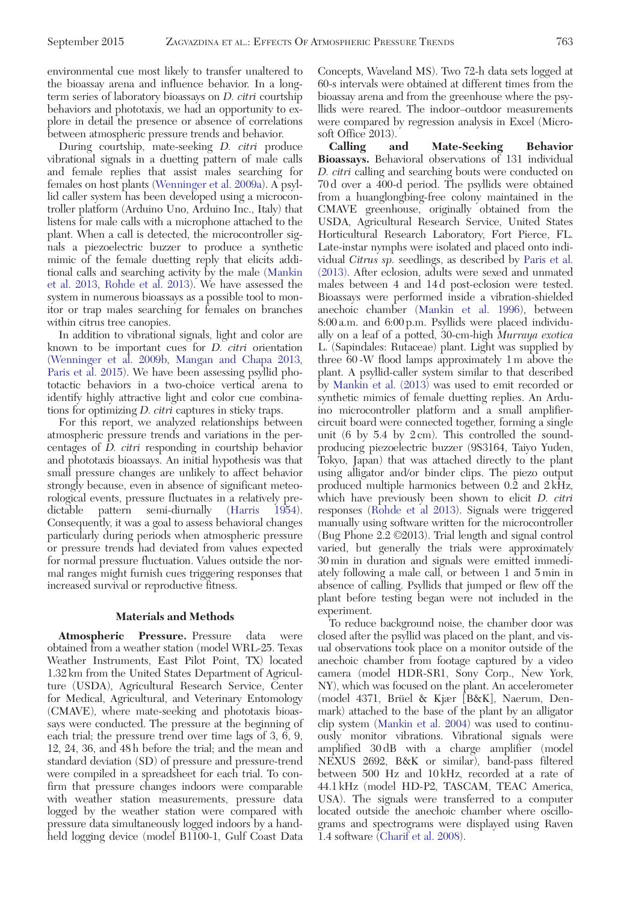environmental cue most likely to transfer unaltered to the bioassay arena and influence behavior. In a longterm series of laboratory bioassays on D. citri courtship behaviors and phototaxis, we had an opportunity to explore in detail the presence or absence of correlations between atmospheric pressure trends and behavior.

During courtship, mate-seeking D. citri produce vibrational signals in a duetting pattern of male calls and female replies that assist males searching for females on host plants [\(Wenninger et al. 2009a\)](#page-8-0). A psyllid caller system has been developed using a microcontroller platform (Arduino Uno, Arduino Inc., Italy) that listens for male calls with a microphone attached to the plant. When a call is detected, the microcontroller signals a piezoelectric buzzer to produce a synthetic mimic of the female duetting reply that elicits additional calls and searching activity by the male [\(Mankin](#page-8-0) [et al. 2013,](#page-8-0) [Rohde et al. 2013](#page-8-0)). We have assessed the system in numerous bioassays as a possible tool to monitor or trap males searching for females on branches within citrus tree canopies.

In addition to vibrational signals, light and color are known to be important cues for D. citri orientation ([Wenninger et al. 2009b](#page-8-0), [Mangan and Chapa 2013](#page-8-0), [Paris et al. 2015\)](#page-8-0). We have been assessing psyllid phototactic behaviors in a two-choice vertical arena to identify highly attractive light and color cue combinations for optimizing D. citri captures in sticky traps.

For this report, we analyzed relationships between atmospheric pressure trends and variations in the percentages of D. citri responding in courtship behavior and phototaxis bioassays. An initial hypothesis was that small pressure changes are unlikely to affect behavior strongly because, even in absence of significant meteorological events, pressure fluctuates in a relatively predictable pattern semi-diurnally ([Harris 1954](#page-7-0)). Consequently, it was a goal to assess behavioral changes particularly during periods when atmospheric pressure or pressure trends had deviated from values expected for normal pressure fluctuation. Values outside the normal ranges might furnish cues triggering responses that increased survival or reproductive fitness.

## Materials and Methods

Atmospheric Pressure. Pressure data were obtained from a weather station (model WRL-25. Texas Weather Instruments, East Pilot Point, TX) located 1.32 km from the United States Department of Agriculture (USDA), Agricultural Research Service, Center for Medical, Agricultural, and Veterinary Entomology (CMAVE), where mate-seeking and phototaxis bioassays were conducted. The pressure at the beginning of each trial; the pressure trend over time lags of 3, 6, 9, 12, 24, 36, and 48 h before the trial; and the mean and standard deviation (SD) of pressure and pressure-trend were compiled in a spreadsheet for each trial. To confirm that pressure changes indoors were comparable with weather station measurements, pressure data logged by the weather station were compared with pressure data simultaneously logged indoors by a handheld logging device (model B1100-1, Gulf Coast Data

Concepts, Waveland MS). Two 72-h data sets logged at 60-s intervals were obtained at different times from the bioassay arena and from the greenhouse where the psyllids were reared. The indoor–outdoor measurements were compared by regression analysis in Excel (Microsoft Office 2013).

Calling and Mate-Seeking Behavior Bioassays. Behavioral observations of 131 individual D. citri calling and searching bouts were conducted on 70 d over a 400-d period. The psyllids were obtained from a huanglongbing-free colony maintained in the CMAVE greenhouse, originally obtained from the USDA, Agricultural Research Service, United States Horticultural Research Laboratory, Fort Pierce, FL. Late-instar nymphs were isolated and placed onto individual Citrus sp. seedlings, as described by [Paris et al.](#page-8-0) [\(2013\).](#page-8-0) After eclosion, adults were sexed and unmated males between 4 and 14d post-eclosion were tested. Bioassays were performed inside a vibration-shielded anechoic chamber ([Mankin et al. 1996\)](#page-8-0), between 8:00 a.m. and 6:00 p.m. Psyllids were placed individually on a leaf of a potted, 30-cm-high Murraya exotica L. (Sapindales: Rutaceae) plant. Light was supplied by three 60 -W flood lamps approximately 1 m above the plant. A psyllid-caller system similar to that described by [Mankin et al. \(2013\)](#page-8-0) was used to emit recorded or synthetic mimics of female duetting replies. An Arduino microcontroller platform and a small amplifiercircuit board were connected together, forming a single unit (6 by  $5.4$  by  $2 \text{ cm}$ ). This controlled the soundproducing piezoelectric buzzer (9S3164, Taiyo Yuden, Tokyo, Japan) that was attached directly to the plant using alligator and/or binder clips. The piezo output produced multiple harmonics between 0.2 and 2 kHz, which have previously been shown to elicit D. citri responses [\(Rohde et al 2013](#page-8-0)). Signals were triggered manually using software written for the microcontroller (Bug Phone  $2.2 \text{ } \textcircled{2013}$ ). Trial length and signal control varied, but generally the trials were approximately 30 min in duration and signals were emitted immediately following a male call, or between 1 and 5 min in absence of calling. Psyllids that jumped or flew off the plant before testing began were not included in the experiment.

To reduce background noise, the chamber door was closed after the psyllid was placed on the plant, and visual observations took place on a monitor outside of the anechoic chamber from footage captured by a video camera (model HDR-SR1, Sony Corp., New York, NY), which was focused on the plant. An accelerometer (model 4371, Brüel & Kjær [B&K], Naerum, Denmark) attached to the base of the plant by an alligator clip system [\(Mankin et al. 2004](#page-8-0)) was used to continuously monitor vibrations. Vibrational signals were amplified 30 dB with a charge amplifier (model NEXUS 2692, B&K or similar), band-pass filtered between 500 Hz and 10 kHz, recorded at a rate of 44.1 kHz (model HD-P2, TASCAM, TEAC America, USA). The signals were transferred to a computer located outside the anechoic chamber where oscillograms and spectrograms were displayed using Raven 1.4 software [\(Charif et al. 2008](#page-7-0)).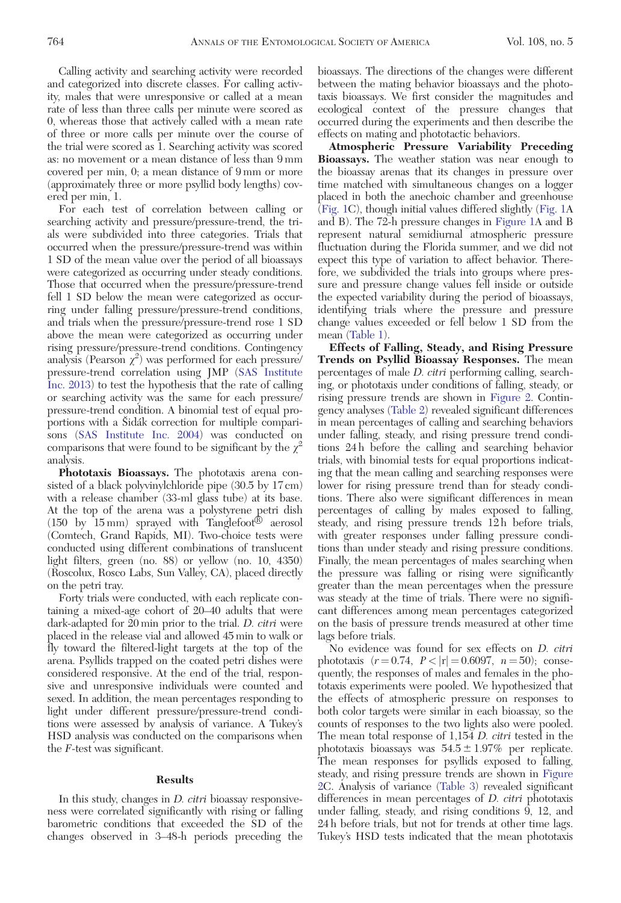Calling activity and searching activity were recorded and categorized into discrete classes. For calling activity, males that were unresponsive or called at a mean rate of less than three calls per minute were scored as 0, whereas those that actively called with a mean rate of three or more calls per minute over the course of the trial were scored as 1. Searching activity was scored as: no movement or a mean distance of less than 9 mm covered per min, 0; a mean distance of 9 mm or more (approximately three or more psyllid body lengths) covered per min, 1.

For each test of correlation between calling or searching activity and pressure/pressure-trend, the trials were subdivided into three categories. Trials that occurred when the pressure/pressure-trend was within 1 SD of the mean value over the period of all bioassays were categorized as occurring under steady conditions. Those that occurred when the pressure/pressure-trend fell 1 SD below the mean were categorized as occurring under falling pressure/pressure-trend conditions, and trials when the pressure/pressure-trend rose 1 SD above the mean were categorized as occurring under rising pressure/pressure-trend conditions. Contingency analysis (Pearson  $\chi^2$ ) was performed for each pressure/ pressure-trend correlation using JMP [\(SAS Institute](#page-8-0) [Inc. 2013](#page-8-0)) to test the hypothesis that the rate of calling or searching activity was the same for each pressure/ pressure-trend condition. A binomial test of equal proportions with a Sidák correction for multiple comparisons ([SAS Institute Inc. 2004](#page-8-0)) was conducted on comparisons that were found to be significant by the  $\chi^2$ analysis.

Phototaxis Bioassays. The phototaxis arena consisted of a black polyvinylchloride pipe (30.5 by 17 cm) with a release chamber (33-ml glass tube) at its base. At the top of the arena was a polystyrene petri dish (150 by  $15 \text{ mm}$ ) sprayed with Tanglefoot $\overline{\textcircled{\tiny{\text{B}}}}$  aerosol (Comtech, Grand Rapids, MI). Two-choice tests were conducted using different combinations of translucent light filters, green (no. 88) or yellow (no. 10, 4350) (Roscolux, Rosco Labs, Sun Valley, CA), placed directly on the petri tray.

Forty trials were conducted, with each replicate containing a mixed-age cohort of 20–40 adults that were dark-adapted for 20 min prior to the trial. D. citri were placed in the release vial and allowed 45 min to walk or fly toward the filtered-light targets at the top of the arena. Psyllids trapped on the coated petri dishes were considered responsive. At the end of the trial, responsive and unresponsive individuals were counted and sexed. In addition, the mean percentages responding to light under different pressure/pressure-trend conditions were assessed by analysis of variance. A Tukey's HSD analysis was conducted on the comparisons when the F-test was significant.

### Results

In this study, changes in D. citri bioassay responsiveness were correlated significantly with rising or falling barometric conditions that exceeded the SD of the changes observed in 3–48-h periods preceding the bioassays. The directions of the changes were different between the mating behavior bioassays and the phototaxis bioassays. We first consider the magnitudes and ecological context of the pressure changes that occurred during the experiments and then describe the effects on mating and phototactic behaviors.

Atmospheric Pressure Variability Preceding Bioassays. The weather station was near enough to the bioassay arenas that its changes in pressure over time matched with simultaneous changes on a logger placed in both the anechoic chamber and greenhouse [\(Fig. 1C](#page-3-0)), though initial values differed slightly [\(Fig. 1](#page-3-0)A and B). The 72-h pressure changes in [Figure 1A](#page-3-0) and B represent natural semidiurnal atmospheric pressure fluctuation during the Florida summer, and we did not expect this type of variation to affect behavior. Therefore, we subdivided the trials into groups where pressure and pressure change values fell inside or outside the expected variability during the period of bioassays, identifying trials where the pressure and pressure change values exceeded or fell below 1 SD from the mean [\(Table 1\)](#page-3-0).

Effects of Falling, Steady, and Rising Pressure Trends on Psyllid Bioassay Responses. The mean percentages of male D. citri performing calling, searching, or phototaxis under conditions of falling, steady, or rising pressure trends are shown in [Figure 2](#page-4-0). Contingency analyses ([Table 2\)](#page-5-0) revealed significant differences in mean percentages of calling and searching behaviors under falling, steady, and rising pressure trend conditions 24 h before the calling and searching behavior trials, with binomial tests for equal proportions indicating that the mean calling and searching responses were lower for rising pressure trend than for steady conditions. There also were significant differences in mean percentages of calling by males exposed to falling, steady, and rising pressure trends 12 h before trials, with greater responses under falling pressure conditions than under steady and rising pressure conditions. Finally, the mean percentages of males searching when the pressure was falling or rising were significantly greater than the mean percentages when the pressure was steady at the time of trials. There were no significant differences among mean percentages categorized on the basis of pressure trends measured at other time lags before trials.

No evidence was found for sex effects on D. citri phototaxis  $(r = 0.74, P < |r| = 0.6097, n = 50)$ ; consequently, the responses of males and females in the phototaxis experiments were pooled. We hypothesized that the effects of atmospheric pressure on responses to both color targets were similar in each bioassay, so the counts of responses to the two lights also were pooled. The mean total response of 1,154 D. citri tested in the phototaxis bioassays was  $54.5 \pm 1.97\%$  per replicate. The mean responses for psyllids exposed to falling, steady, and rising pressure trends are shown in [Figure](#page-4-0) [2C](#page-4-0). Analysis of variance ([Table 3\)](#page-5-0) revealed significant differences in mean percentages of *D. citri* phototaxis under falling, steady, and rising conditions 9, 12, and 24 h before trials, but not for trends at other time lags. Tukey's HSD tests indicated that the mean phototaxis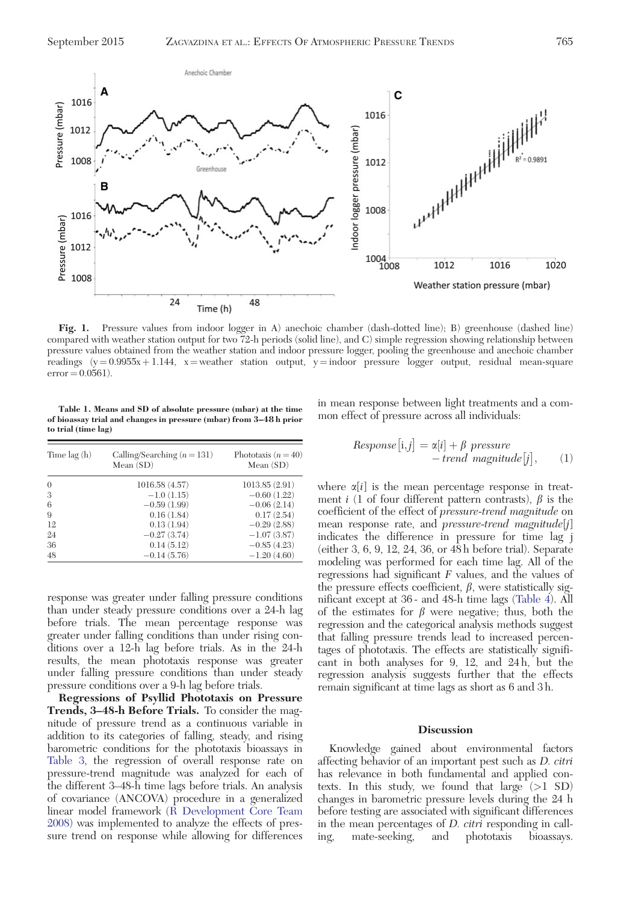<span id="page-3-0"></span>

Fig. 1. Pressure values from indoor logger in A) anechoic chamber (dash-dotted line); B) greenhouse (dashed line) compared with weather station output for two  $\overline{7}2$ -h periods (solid line), and C) simple regression showing relationship between pressure values obtained from the weather station and indoor pressure logger, pooling the greenhouse and anechoic chamber readings  $(y = 0.9955x + 1.144, x = weather station output, y = indoor pressure logger output, residual mean-square$  $error = 0.0561$ .

Table 1. Means and SD of absolute pressure (mbar) at the time of bioassay trial and changes in pressure (mbar) from 3–48 h prior to trial (time lag)

| Time $\log(h)$ | Calling/Searching ( $n = 131$ )<br>Mean(SD) | Phototaxis $(n=40)$<br>Mean $(SD)$ |  |  |
|----------------|---------------------------------------------|------------------------------------|--|--|
| $\Omega$       | 1016.58(4.57)                               | 1013.85(2.91)                      |  |  |
| 3              | $-1.0(1.15)$                                | $-0.60(1.22)$                      |  |  |
| 6              | $-0.59(1.99)$                               | $-0.06(2.14)$                      |  |  |
| 9              | 0.16(1.84)                                  | 0.17(2.54)                         |  |  |
| 12             | 0.13(1.94)                                  | $-0.29(2.88)$                      |  |  |
| 24             | $-0.27(3.74)$                               | $-1.07(3.87)$                      |  |  |
| 36             | 0.14(5.12)                                  | $-0.85(4.23)$                      |  |  |
| 48             | $-0.14(5.76)$                               | $-1.20(4.60)$                      |  |  |

response was greater under falling pressure conditions than under steady pressure conditions over a 24-h lag before trials. The mean percentage response was greater under falling conditions than under rising conditions over a 12-h lag before trials. As in the 24-h results, the mean phototaxis response was greater under falling pressure conditions than under steady pressure conditions over a 9-h lag before trials.

Regressions of Psyllid Phototaxis on Pressure Trends, 3–48-h Before Trials. To consider the magnitude of pressure trend as a continuous variable in addition to its categories of falling, steady, and rising barometric conditions for the phototaxis bioassays in [Table 3](#page-5-0), the regression of overall response rate on pressure-trend magnitude was analyzed for each of the different 3–48-h time lags before trials. An analysis of covariance (ANCOVA) procedure in a generalized linear model framework [\(R Development Core Team](#page-8-0) [2008](#page-8-0)) was implemented to analyze the effects of pressure trend on response while allowing for differences

in mean response between light treatments and a common effect of pressure across all individuals:

$$
Response[i,j] = \alpha[i] + \beta \ pressure
$$
  
- trend magnitude[j], (1)

where  $\alpha[i]$  is the mean percentage response in treatment i (1 of four different pattern contrasts),  $\beta$  is the coefficient of the effect of pressure-trend magnitude on mean response rate, and *pressure-trend magnitude*[j] indicates the difference in pressure for time lag j (either 3, 6, 9, 12, 24, 36, or 48 h before trial). Separate modeling was performed for each time lag. All of the regressions had significant F values, and the values of the pressure effects coefficient,  $\beta$ , were statistically significant except at 36 - and 48-h time lags [\(Table 4\)](#page-5-0). All of the estimates for  $\beta$  were negative; thus, both the regression and the categorical analysis methods suggest that falling pressure trends lead to increased percentages of phototaxis. The effects are statistically significant in both analyses for 9, 12, and 24 h, but the regression analysis suggests further that the effects remain significant at time lags as short as 6 and 3 h.

#### **Discussion**

Knowledge gained about environmental factors affecting behavior of an important pest such as D. citri has relevance in both fundamental and applied contexts. In this study, we found that large  $(>1$  SD) changes in barometric pressure levels during the 24 h before testing are associated with significant differences in the mean percentages of D. citri responding in calling, mate-seeking, and phototaxis bioassays.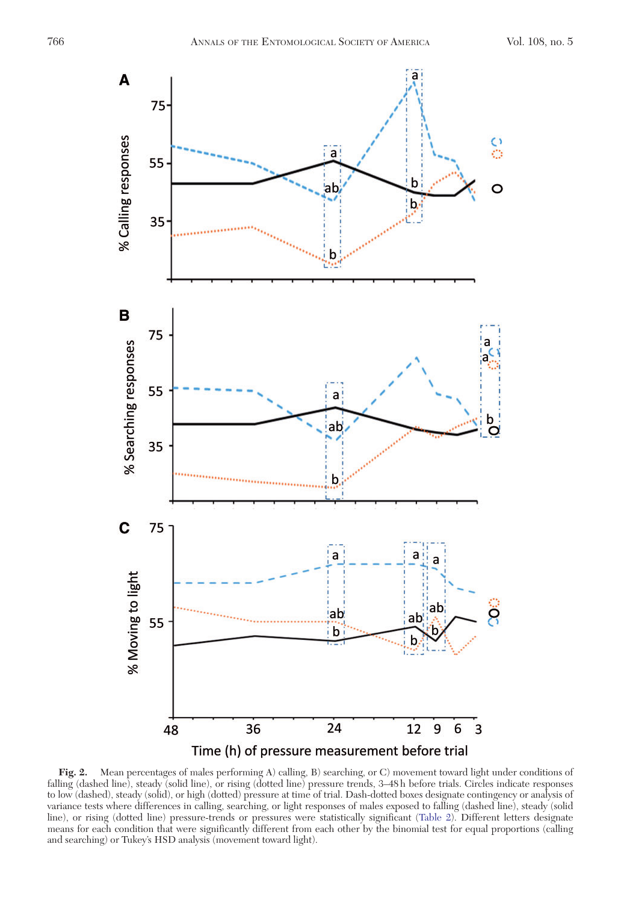<span id="page-4-0"></span>

Fig. 2. Mean percentages of males performing A) calling, B) searching, or C) movement toward light under conditions of falling (dashed line), steady (solid line), or rising (dotted line) pressure trends, 3–48 h before trials. Circles indicate responses to low (dashed), steady (solid), or high (dotted) pressure at time of trial. Dash-dotted boxes designate contingency or analysis of variance tests where differences in calling, searching, or light responses of males exposed to falling (dashed line), steady (solid line), or rising (dotted line) pressure-trends or pressures were statistically significant [\(Table 2\)](#page-5-0). Different letters designate means for each condition that were significantly different from each other by the binomial test for equal proportions (calling and searching) or Tukey's HSD analysis (movement toward light).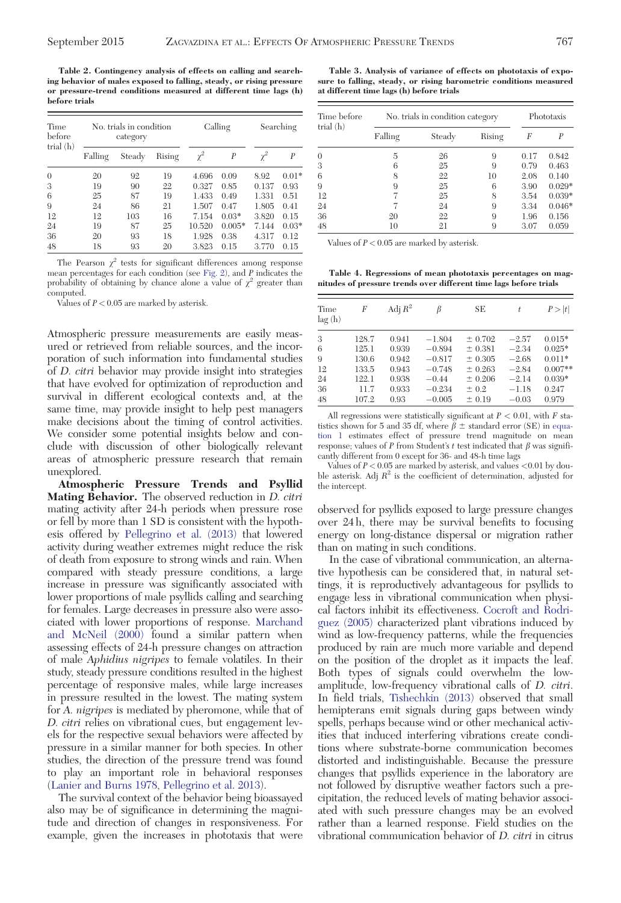<span id="page-5-0"></span>Table 2. Contingency analysis of effects on calling and searching behavior of males exposed to falling, steady, or rising pressure or pressure-trend conditions measured at different time lags (h) before trials

| Time<br>before | No. trials in condition<br>category |        | Calling |          | Searching        |       |         |
|----------------|-------------------------------------|--------|---------|----------|------------------|-------|---------|
| trial $(h)$    | Falling                             | Steady | Rising  | $\chi^2$ | $\boldsymbol{P}$ |       | P       |
| $\overline{0}$ | 20                                  | 92     | 19      | 4.696    | 0.09             | 8.92  | $0.01*$ |
| 3              | 19                                  | 90     | 22      | 0.327    | 0.85             | 0.137 | 0.93    |
| 6              | 25                                  | 87     | 19      | 1.433    | 0.49             | 1.331 | 0.51    |
| 9              | 24                                  | 86     | 21      | 1.507    | 0.47             | 1.805 | 0.41    |
| 12             | 12                                  | 103    | 16      | 7.154    | $0.03*$          | 3.820 | 0.15    |
| 24             | 19                                  | 87     | 25      | 10.520   | $0.005*$         | 7.144 | $0.03*$ |
| 36             | 20                                  | 93     | 18      | 1.928    | 0.38             | 4.317 | 0.12    |
| 48             | 18                                  | 93     | 20      | 3.823    | 0.15             | 3.770 | 0.15    |

The Pearson  $\chi^2$  tests for significant differences among response mean percentages for each condition (see [Fig. 2](#page-4-0)), and  $P$  indicates the probability of obtaining by chance alone a value of  $\chi^2$  greater than computed.

Values of  $P < 0.05$  are marked by asterisk.

Atmospheric pressure measurements are easily measured or retrieved from reliable sources, and the incorporation of such information into fundamental studies of D. citri behavior may provide insight into strategies that have evolved for optimization of reproduction and survival in different ecological contexts and, at the same time, may provide insight to help pest managers make decisions about the timing of control activities. We consider some potential insights below and conclude with discussion of other biologically relevant areas of atmospheric pressure research that remain unexplored.

Atmospheric Pressure Trends and Psyllid **Mating Behavior.** The observed reduction in *D. citri* mating activity after 24-h periods when pressure rose or fell by more than 1 SD is consistent with the hypothesis offered by [Pellegrino et al. \(2013\)](#page-8-0) that lowered activity during weather extremes might reduce the risk of death from exposure to strong winds and rain. When compared with steady pressure conditions, a large increase in pressure was significantly associated with lower proportions of male psyllids calling and searching for females. Large decreases in pressure also were associated with lower proportions of response. [Marchand](#page-8-0) [and McNeil \(2000\)](#page-8-0) found a similar pattern when assessing effects of 24-h pressure changes on attraction of male Aphidius nigripes to female volatiles. In their study, steady pressure conditions resulted in the highest percentage of responsive males, while large increases in pressure resulted in the lowest. The mating system for A. nigripes is mediated by pheromone, while that of D. *citri* relies on vibrational cues, but engagement levels for the respective sexual behaviors were affected by pressure in a similar manner for both species. In other studies, the direction of the pressure trend was found to play an important role in behavioral responses ([Lanier and Burns 1978](#page-7-0), [Pellegrino et al. 2013](#page-8-0)).

The survival context of the behavior being bioassayed also may be of significance in determining the magnitude and direction of changes in responsiveness. For example, given the increases in phototaxis that were

Table 3. Analysis of variance of effects on phototaxis of exposure to falling, steady, or rising barometric conditions measured at different time lags (h) before trials

| Time before<br>trial (h) | No. trials in condition category | Phototaxis |        |      |          |
|--------------------------|----------------------------------|------------|--------|------|----------|
|                          | Falling                          | Steady     | Rising | F    |          |
| 0                        | 5                                | 26         | 9      | 0.17 | 0.842    |
| 3                        | 6                                | 25         | 9      | 0.79 | 0.463    |
| 6                        | 8                                | 22         | 10     | 2.08 | 0.140    |
| 9                        | 9                                | 25         | 6      | 3.90 | $0.029*$ |
| 12                       |                                  | 25         | 8      | 3.54 | $0.039*$ |
| 24                       |                                  | 24         | 9      | 3.34 | $0.046*$ |
| 36                       | 20                               | 22         | 9      | 1.96 | 0.156    |
| 48                       | 10                               | 21         | 9      | 3.07 | 0.059    |

Values of  $P < 0.05$  are marked by asterisk.

Table 4. Regressions of mean phototaxis percentages on magnitudes of pressure trends over different time lags before trials

| Time<br>lag(h) | $\overline{F}$ | Adj $R^2$ | β        | SE         | t       | P> t      |
|----------------|----------------|-----------|----------|------------|---------|-----------|
| 3              | 128.7          | 0.941     | $-1.804$ | ± 0.702    | $-2.57$ | $0.015*$  |
| 6              | 125.1          | 0.939     | $-0.894$ | ± 0.381    | $-2.34$ | $0.025*$  |
| 9              | 130.6          | 0.942     | $-0.817$ | ± 0.305    | $-2.68$ | $0.011*$  |
| 12             | 133.5          | 0.943     | $-0.748$ | ± 0.263    | $-2.84$ | $0.007**$ |
| 24             | 122.1          | 0.938     | $-0.44$  | ± 0.206    | $-2.14$ | $0.039*$  |
| 36             | 11.7           | 0.933     | $-0.234$ | ± 0.2      | $-1.18$ | 0.247     |
| 48             | 107.2          | 0.93      | $-0.005$ | $\pm 0.19$ | $-0.03$ | 0.979     |

All regressions were statistically significant at  $P < 0.01$ , with  $F$  statistics shown for 5 and 35 df, where  $\tilde{\beta} \pm$  standard error (SE) in [equa](#page-3-0)[tion 1](#page-3-0) estimates effect of pressure trend magnitude on mean response; values of P from Student's t test indicated that  $\beta$  was significantly different from 0 except for 36- and 48-h time lags

Values of  $P < 0.05$  are marked by asterisk, and values  $< 0.01$  by double asterisk. Adj  $R^2$  is the coefficient of determination, adjusted for the intercept.

observed for psyllids exposed to large pressure changes over 24 h, there may be survival benefits to focusing energy on long-distance dispersal or migration rather than on mating in such conditions.

In the case of vibrational communication, an alternative hypothesis can be considered that, in natural settings, it is reproductively advantageous for psyllids to engage less in vibrational communication when physical factors inhibit its effectiveness. [Cocroft and Rodri](#page-7-0)[guez \(2005\)](#page-7-0) characterized plant vibrations induced by wind as low-frequency patterns, while the frequencies produced by rain are much more variable and depend on the position of the droplet as it impacts the leaf. Both types of signals could overwhelm the lowamplitude, low-frequency vibrational calls of D. citri. In field trials, [Tishechkin \(2013\)](#page-8-0) observed that small hemipterans emit signals during gaps between windy spells, perhaps because wind or other mechanical activities that induced interfering vibrations create conditions where substrate-borne communication becomes distorted and indistinguishable. Because the pressure changes that psyllids experience in the laboratory are not followed by disruptive weather factors such a precipitation, the reduced levels of mating behavior associated with such pressure changes may be an evolved rather than a learned response. Field studies on the vibrational communication behavior of D. citri in citrus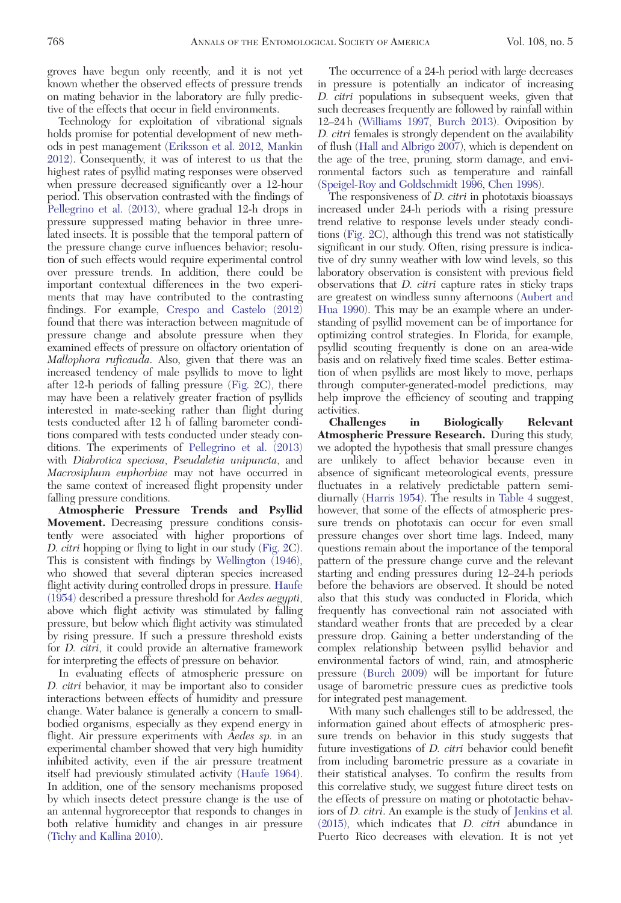groves have begun only recently, and it is not yet known whether the observed effects of pressure trends on mating behavior in the laboratory are fully predictive of the effects that occur in field environments.

Technology for exploitation of vibrational signals holds promise for potential development of new methods in pest management [\(Eriksson et al. 2012](#page-7-0), [Mankin](#page-8-0) [2012](#page-8-0)). Consequently, it was of interest to us that the highest rates of psyllid mating responses were observed when pressure decreased significantly over a 12-hour period. This observation contrasted with the findings of [Pellegrino et al. \(2013\)](#page-8-0), where gradual 12-h drops in pressure suppressed mating behavior in three unrelated insects. It is possible that the temporal pattern of the pressure change curve influences behavior; resolution of such effects would require experimental control over pressure trends. In addition, there could be important contextual differences in the two experiments that may have contributed to the contrasting findings. For example, [Crespo and Castelo \(2012\)](#page-7-0) found that there was interaction between magnitude of pressure change and absolute pressure when they examined effects of pressure on olfactory orientation of Mallophora ruficauda. Also, given that there was an increased tendency of male psyllids to move to light after 12-h periods of falling pressure [\(Fig. 2](#page-4-0)C), there may have been a relatively greater fraction of psyllids interested in mate-seeking rather than flight during tests conducted after 12 h of falling barometer conditions compared with tests conducted under steady conditions. The experiments of [Pellegrino et al. \(2013\)](#page-8-0) with Diabrotica speciosa, Pseudaletia unipuncta, and Macrosiphum euphorbiae may not have occurred in the same context of increased flight propensity under falling pressure conditions.

Atmospheric Pressure Trends and Psyllid Movement. Decreasing pressure conditions consistently were associated with higher proportions of D. citri hopping or flying to light in our study [\(Fig. 2](#page-4-0)C). This is consistent with findings by [Wellington \(1946\)](#page-8-0), who showed that several dipteran species increased flight activity during controlled drops in pressure. [Haufe](#page-7-0) [\(1954\)](#page-7-0) described a pressure threshold for *Aedes aegypti*, above which flight activity was stimulated by falling pressure, but below which flight activity was stimulated by rising pressure. If such a pressure threshold exists for D. citri, it could provide an alternative framework for interpreting the effects of pressure on behavior.

In evaluating effects of atmospheric pressure on D. citri behavior, it may be important also to consider interactions between effects of humidity and pressure change. Water balance is generally a concern to smallbodied organisms, especially as they expend energy in flight. Air pressure experiments with Aedes sp. in an experimental chamber showed that very high humidity inhibited activity, even if the air pressure treatment itself had previously stimulated activity [\(Haufe 1964](#page-7-0)). In addition, one of the sensory mechanisms proposed by which insects detect pressure change is the use of an antennal hygroreceptor that responds to changes in both relative humidity and changes in air pressure ([Tichy and Kallina 2010\)](#page-8-0).

The occurrence of a 24-h period with large decreases in pressure is potentially an indicator of increasing D. citri populations in subsequent weeks, given that such decreases frequently are followed by rainfall within 12–24 h [\(Williams 1997](#page-8-0), [Burch 2013](#page-7-0)). Oviposition by D. citri females is strongly dependent on the availability of flush [\(Hall and Albrigo 2007\)](#page-7-0), which is dependent on the age of the tree, pruning, storm damage, and environmental factors such as temperature and rainfall [\(Speigel-Roy and Goldschmidt 1996,](#page-8-0) [Chen 1998](#page-7-0)).

The responsiveness of *D. citri* in phototaxis bioassays increased under 24-h periods with a rising pressure trend relative to response levels under steady conditions ([Fig. 2C](#page-4-0)), although this trend was not statistically significant in our study. Often, rising pressure is indicative of dry sunny weather with low wind levels, so this laboratory observation is consistent with previous field observations that D. citri capture rates in sticky traps are greatest on windless sunny afternoons [\(Aubert and](#page-7-0) [Hua 1990](#page-7-0)). This may be an example where an understanding of psyllid movement can be of importance for optimizing control strategies. In Florida, for example, psyllid scouting frequently is done on an area-wide basis and on relatively fixed time scales. Better estimation of when psyllids are most likely to move, perhaps through computer-generated-model predictions, may help improve the efficiency of scouting and trapping

activities.<br>Challenges in Biologically Relevant Atmospheric Pressure Research. During this study, we adopted the hypothesis that small pressure changes are unlikely to affect behavior because even in absence of significant meteorological events, pressure fluctuates in a relatively predictable pattern semidiurnally ([Harris 1954](#page-7-0)). The results in [Table 4](#page-5-0) suggest, however, that some of the effects of atmospheric pressure trends on phototaxis can occur for even small pressure changes over short time lags. Indeed, many questions remain about the importance of the temporal pattern of the pressure change curve and the relevant starting and ending pressures during 12–24-h periods before the behaviors are observed. It should be noted also that this study was conducted in Florida, which frequently has convectional rain not associated with standard weather fronts that are preceded by a clear pressure drop. Gaining a better understanding of the complex relationship between psyllid behavior and environmental factors of wind, rain, and atmospheric pressure ([Burch 2009\)](#page-7-0) will be important for future usage of barometric pressure cues as predictive tools for integrated pest management.

With many such challenges still to be addressed, the information gained about effects of atmospheric pressure trends on behavior in this study suggests that future investigations of *D. citri* behavior could benefit from including barometric pressure as a covariate in their statistical analyses. To confirm the results from this correlative study, we suggest future direct tests on the effects of pressure on mating or phototactic behaviors of D. citri. An example is the study of [Jenkins et al.](#page-7-0)  $(2015)$ , which indicates that *D. citri* abundance in Puerto Rico decreases with elevation. It is not yet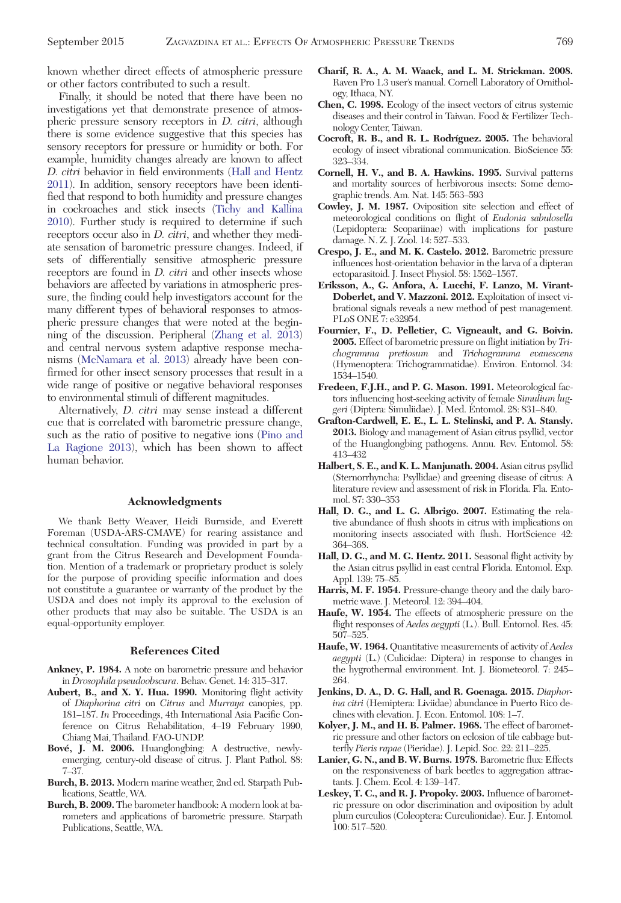<span id="page-7-0"></span>known whether direct effects of atmospheric pressure or other factors contributed to such a result.

Finally, it should be noted that there have been no investigations yet that demonstrate presence of atmospheric pressure sensory receptors in D. citri, although there is some evidence suggestive that this species has sensory receptors for pressure or humidity or both. For example, humidity changes already are known to affect D. citri behavior in field environments (Hall and Hentz 2011). In addition, sensory receptors have been identified that respond to both humidity and pressure changes in cockroaches and stick insects [\(Tichy and Kallina](#page-8-0) [2010\)](#page-8-0). Further study is required to determine if such receptors occur also in D. citri, and whether they mediate sensation of barometric pressure changes. Indeed, if sets of differentially sensitive atmospheric pressure receptors are found in *D. citri* and other insects whose behaviors are affected by variations in atmospheric pressure, the finding could help investigators account for the many different types of behavioral responses to atmospheric pressure changes that were noted at the beginning of the discussion. Peripheral [\(Zhang et al. 2013](#page-8-0)) and central nervous system adaptive response mechanisms ([McNamara et al. 2013](#page-8-0)) already have been confirmed for other insect sensory processes that result in a wide range of positive or negative behavioral responses to environmental stimuli of different magnitudes.

Alternatively, D. citri may sense instead a different cue that is correlated with barometric pressure change, such as the ratio of positive to negative ions [\(Pino and](#page-8-0) [La Ragione 2013\)](#page-8-0), which has been shown to affect human behavior.

## Acknowledgments

We thank Betty Weaver, Heidi Burnside, and Everett Foreman (USDA-ARS-CMAVE) for rearing assistance and technical consultation. Funding was provided in part by a grant from the Citrus Research and Development Foundation. Mention of a trademark or proprietary product is solely for the purpose of providing specific information and does not constitute a guarantee or warranty of the product by the USDA and does not imply its approval to the exclusion of other products that may also be suitable. The USDA is an equal-opportunity employer.

#### References Cited

- Ankney, P. 1984. A note on barometric pressure and behavior in Drosophila pseudoobscura. Behav. Genet. 14: 315–317.
- Aubert, B., and X. Y. Hua. 1990. Monitoring flight activity of Diaphorina citri on Citrus and Murraya canopies, pp. 181–187. In Proceedings, 4th International Asia Pacific Conference on Citrus Rehabilitation, 4–19 February 1990, Chiang Mai, Thailand. FAO-UNDP.
- Bové, J. M. 2006. Huanglongbing: A destructive, newlyemerging, century-old disease of citrus. J. Plant Pathol. 88: 7–37.
- Burch, B. 2013. Modern marine weather, 2nd ed. Starpath Publications, Seattle, WA.
- Burch, B. 2009. The barometer handbook: A modern look at barometers and applications of barometric pressure. Starpath Publications, Seattle, WA.
- Charif, R. A., A. M. Waack, and L. M. Strickman. 2008. Raven Pro 1.3 user's manual. Cornell Laboratory of Ornithology, Ithaca, NY.
- Chen, C. 1998. Ecology of the insect vectors of citrus systemic diseases and their control in Taiwan. Food & Fertilizer Technology Center, Taiwan.
- Cocroft, R. B., and R. L. Rodríguez. 2005. The behavioral ecology of insect vibrational communication. BioScience 55: 323–334.
- Cornell, H. V., and B. A. Hawkins. 1995. Survival patterns and mortality sources of herbivorous insects: Some demographic trends. Am. Nat. 145: 563–593
- Cowley, J. M. 1987. Oviposition site selection and effect of meteorological conditions on flight of Eudonia sabulosella (Lepidoptera: Scopariinae) with implications for pasture damage. N. Z. J. Zool. 14: 527–533.
- Crespo, J. E., and M. K. Castelo. 2012. Barometric pressure influences host-orientation behavior in the larva of a dipteran ectoparasitoid. J. Insect Physiol. 58: 1562–1567.
- Eriksson, A., G. Anfora, A. Lucchi, F. Lanzo, M. Virant-Doberlet, and V. Mazzoni. 2012. Exploitation of insect vibrational signals reveals a new method of pest management. PLoS ONE 7: e32954.
- Fournier, F., D. Pelletier, C. Vigneault, and G. Boivin. 2005. Effect of barometric pressure on flight initiation by Trichogramma pretiosum and Trichogramma evanescens (Hymenoptera: Trichogrammatidae). Environ. Entomol. 34: 1534–1540.
- Fredeen, F.J.H., and P. G. Mason. 1991. Meteorological factors influencing host-seeking activity of female Simulium luggeri (Diptera: Simuliidae). J. Med. Entomol. 28: 831–840.
- Grafton-Cardwell, E. E., L. L. Stelinski, and P. A. Stansly. 2013. Biology and management of Asian citrus psyllid, vector of the Huanglongbing pathogens. Annu. Rev. Entomol. 58: 413–432
- Halbert, S. E., and K. L. Manjunath. 2004. Asian citrus psyllid (Sternorrhyncha: Psyllidae) and greening disease of citrus: A literature review and assessment of risk in Florida. Fla. Entomol. 87: 330–353
- Hall, D. G., and L. G. Albrigo. 2007. Estimating the relative abundance of flush shoots in citrus with implications on monitoring insects associated with flush. HortScience 42: 364–368.
- Hall, D. G., and M. G. Hentz. 2011. Seasonal flight activity by the Asian citrus psyllid in east central Florida. Entomol. Exp. Appl. 139: 75–85.
- Harris, M. F. 1954. Pressure-change theory and the daily barometric wave. J. Meteorol. 12: 394–404.
- Haufe, W. 1954. The effects of atmospheric pressure on the flight responses of Aedes aegypti (L.). Bull. Entomol. Res. 45: 507–525.
- Haufe, W. 1964. Quantitative measurements of activity of Aedes aegypti (L.) (Culicidae: Diptera) in response to changes in the hygrothermal environment. Int. J. Biometeorol. 7: 245– 264.
- Jenkins, D. A., D. G. Hall, and R. Goenaga. 2015. Diaphorina citri (Hemiptera: Liviidae) abundance in Puerto Rico declines with elevation. J. Econ. Entomol. 108: 1–7.
- Kolyer, J. M., and H. B. Palmer. 1968. The effect of barometric pressure and other factors on eclosion of tile cabbage butterfly Pieris rapae (Pieridae). J. Lepid. Soc. 22: 211–225.
- Lanier, G. N., and B. W. Burns. 1978. Barometric flux: Effects on the responsiveness of bark beetles to aggregation attractants. J. Chem. Ecol. 4: 139–147.
- Leskey, T. C., and R. J. Propoky. 2003. Influence of barometric pressure on odor discrimination and oviposition by adult plum curculios (Coleoptera: Curculionidae). Eur. J. Entomol. 100: 517–520.